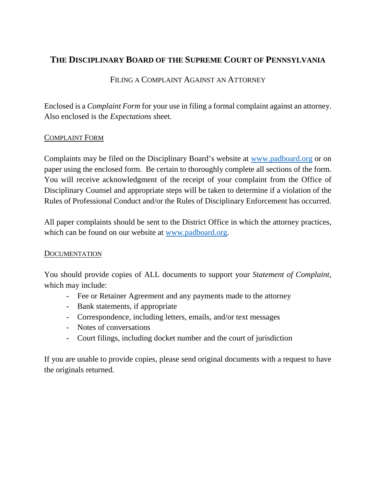## **THE DISCIPLINARY BOARD OF THE SUPREME COURT OF PENNSYLVANIA**

## FILING A COMPLAINT AGAINST AN ATTORNEY

Enclosed is a *Complaint Form* for your use in filing a formal complaint against an attorney. Also enclosed is the *Expectations* sheet.

#### COMPLAINT FORM

Complaints may be filed on the Disciplinary Board's website at [www.padboard.org](http://www.padboard.org/) or on paper using the enclosed form. Be certain to thoroughly complete all sections of the form. You will receive acknowledgment of the receipt of your complaint from the Office of Disciplinary Counsel and appropriate steps will be taken to determine if a violation of the Rules of Professional Conduct and/or the Rules of Disciplinary Enforcement has occurred.

All paper complaints should be sent to the District Office in which the attorney practices, which can be found on our website at [www.padboard.org.](http://www.padboard.org/)

#### **DOCUMENTATION**

You should provide copies of ALL documents to support your *Statement of Complaint*, which may include:

- Fee or Retainer Agreement and any payments made to the attorney
- Bank statements, if appropriate
- Correspondence, including letters, emails, and/or text messages
- Notes of conversations
- Court filings, including docket number and the court of jurisdiction

If you are unable to provide copies, please send original documents with a request to have the originals returned.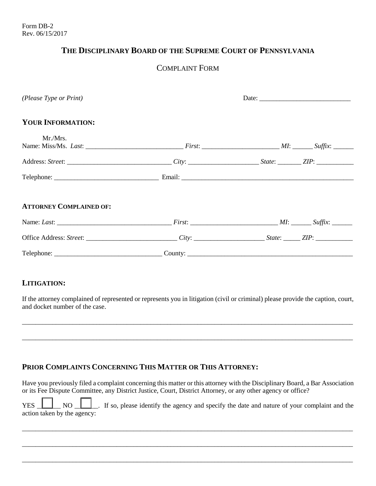### **THE DISCIPLINARY BOARD OF THE SUPREME COURT OF PENNSYLVANIA**

### COMPLAINT FORM

| (Please Type or Print)         |  |  |  |
|--------------------------------|--|--|--|
| <b>YOUR INFORMATION:</b>       |  |  |  |
| Mr./Mrs.                       |  |  |  |
|                                |  |  |  |
|                                |  |  |  |
| <b>ATTORNEY COMPLAINED OF:</b> |  |  |  |
|                                |  |  |  |
|                                |  |  |  |
|                                |  |  |  |

#### **LITIGATION:**

If the attorney complained of represented or represents you in litigation (civil or criminal) please provide the caption, court, and docket number of the case.

\_\_\_\_\_\_\_\_\_\_\_\_\_\_\_\_\_\_\_\_\_\_\_\_\_\_\_\_\_\_\_\_\_\_\_\_\_\_\_\_\_\_\_\_\_\_\_\_\_\_\_\_\_\_\_\_\_\_\_\_\_\_\_\_\_\_\_\_\_\_\_\_\_\_\_\_\_\_\_\_\_\_\_\_\_\_\_\_\_\_\_\_\_\_\_\_\_\_

\_\_\_\_\_\_\_\_\_\_\_\_\_\_\_\_\_\_\_\_\_\_\_\_\_\_\_\_\_\_\_\_\_\_\_\_\_\_\_\_\_\_\_\_\_\_\_\_\_\_\_\_\_\_\_\_\_\_\_\_\_\_\_\_\_\_\_\_\_\_\_\_\_\_\_\_\_\_\_\_\_\_\_\_\_\_\_\_\_\_\_\_\_\_\_\_\_\_

#### **PRIOR COMPLAINTS CONCERNING THIS MATTER OR THIS ATTORNEY:**

Have you previously filed a complaint concerning this matter or this attorney with the Disciplinary Board, a Bar Association or its Fee Dispute Committee, any District Justice, Court, District Attorney, or any other agency or office?

YES NO NO NO RESALLY IS SO, please identify the agency and specify the date and nature of your complaint and the action taken by the agency:

\_\_\_\_\_\_\_\_\_\_\_\_\_\_\_\_\_\_\_\_\_\_\_\_\_\_\_\_\_\_\_\_\_\_\_\_\_\_\_\_\_\_\_\_\_\_\_\_\_\_\_\_\_\_\_\_\_\_\_\_\_\_\_\_\_\_\_\_\_\_\_\_\_\_\_\_\_\_\_\_\_\_\_\_\_\_\_\_\_\_\_\_\_\_\_\_\_\_

\_\_\_\_\_\_\_\_\_\_\_\_\_\_\_\_\_\_\_\_\_\_\_\_\_\_\_\_\_\_\_\_\_\_\_\_\_\_\_\_\_\_\_\_\_\_\_\_\_\_\_\_\_\_\_\_\_\_\_\_\_\_\_\_\_\_\_\_\_\_\_\_\_\_\_\_\_\_\_\_\_\_\_\_\_\_\_\_\_\_\_\_\_\_\_\_\_\_

\_\_\_\_\_\_\_\_\_\_\_\_\_\_\_\_\_\_\_\_\_\_\_\_\_\_\_\_\_\_\_\_\_\_\_\_\_\_\_\_\_\_\_\_\_\_\_\_\_\_\_\_\_\_\_\_\_\_\_\_\_\_\_\_\_\_\_\_\_\_\_\_\_\_\_\_\_\_\_\_\_\_\_\_\_\_\_\_\_\_\_\_\_\_\_\_\_\_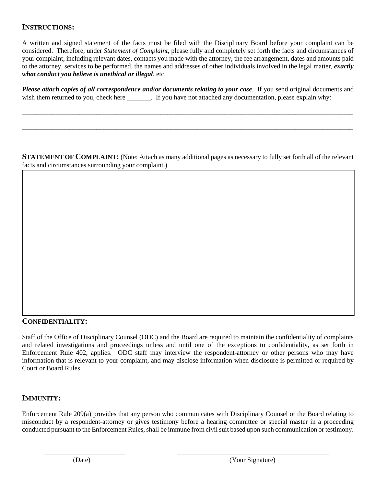#### **INSTRUCTIONS:**

A written and signed statement of the facts must be filed with the Disciplinary Board before your complaint can be considered. Therefore, under *Statement of Complaint*, please fully and completely set forth the facts and circumstances of your complaint, including relevant dates, contacts you made with the attorney, the fee arrangement, dates and amounts paid to the attorney, services to be performed, the names and addresses of other individuals involved in the legal matter, *exactly what conduct you believe is unethical or illegal*, etc.

*Please attach copies of all correspondence and/or documents relating to your case*. If you send original documents and wish them returned to you, check here \_\_\_\_\_\_\_. If you have not attached any documentation, please explain why:

\_\_\_\_\_\_\_\_\_\_\_\_\_\_\_\_\_\_\_\_\_\_\_\_\_\_\_\_\_\_\_\_\_\_\_\_\_\_\_\_\_\_\_\_\_\_\_\_\_\_\_\_\_\_\_\_\_\_\_\_\_\_\_\_\_\_\_\_\_\_\_\_\_\_\_\_\_\_\_\_\_\_\_\_\_\_\_\_\_\_\_\_\_\_\_\_\_\_

\_\_\_\_\_\_\_\_\_\_\_\_\_\_\_\_\_\_\_\_\_\_\_\_\_\_\_\_\_\_\_\_\_\_\_\_\_\_\_\_\_\_\_\_\_\_\_\_\_\_\_\_\_\_\_\_\_\_\_\_\_\_\_\_\_\_\_\_\_\_\_\_\_\_\_\_\_\_\_\_\_\_\_\_\_\_\_\_\_\_\_\_\_\_\_\_\_\_

**STATEMENT OF COMPLAINT:** (Note: Attach as many additional pages as necessary to fully set forth all of the relevant facts and circumstances surrounding your complaint.)

#### **CONFIDENTIALITY:**

Staff of the Office of Disciplinary Counsel (ODC) and the Board are required to maintain the confidentiality of complaints and related investigations and proceedings unless and until one of the exceptions to confidentiality, as set forth in Enforcement Rule 402, applies. ODC staff may interview the respondent-attorney or other persons who may have information that is relevant to your complaint, and may disclose information when disclosure is permitted or required by Court or Board Rules.

#### **IMMUNITY:**

Enforcement Rule 209(a) provides that any person who communicates with Disciplinary Counsel or the Board relating to misconduct by a respondent-attorney or gives testimony before a hearing committee or special master in a proceeding conducted pursuant to the Enforcement Rules, shall be immune from civil suit based upon such communication or testimony.

\_\_\_\_\_\_\_\_\_\_\_\_\_\_\_\_\_\_\_\_\_\_\_\_ \_\_\_\_\_\_\_\_\_\_\_\_\_\_\_\_\_\_\_\_\_\_\_\_\_\_\_\_\_\_\_\_\_\_\_\_\_\_\_\_\_\_\_\_\_